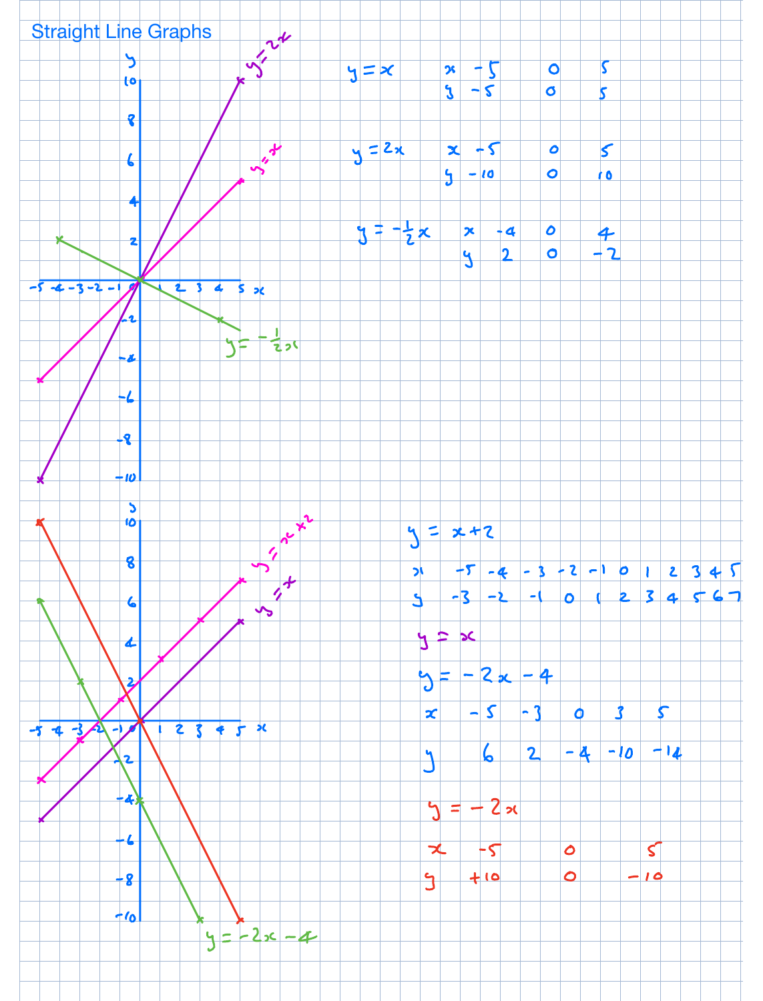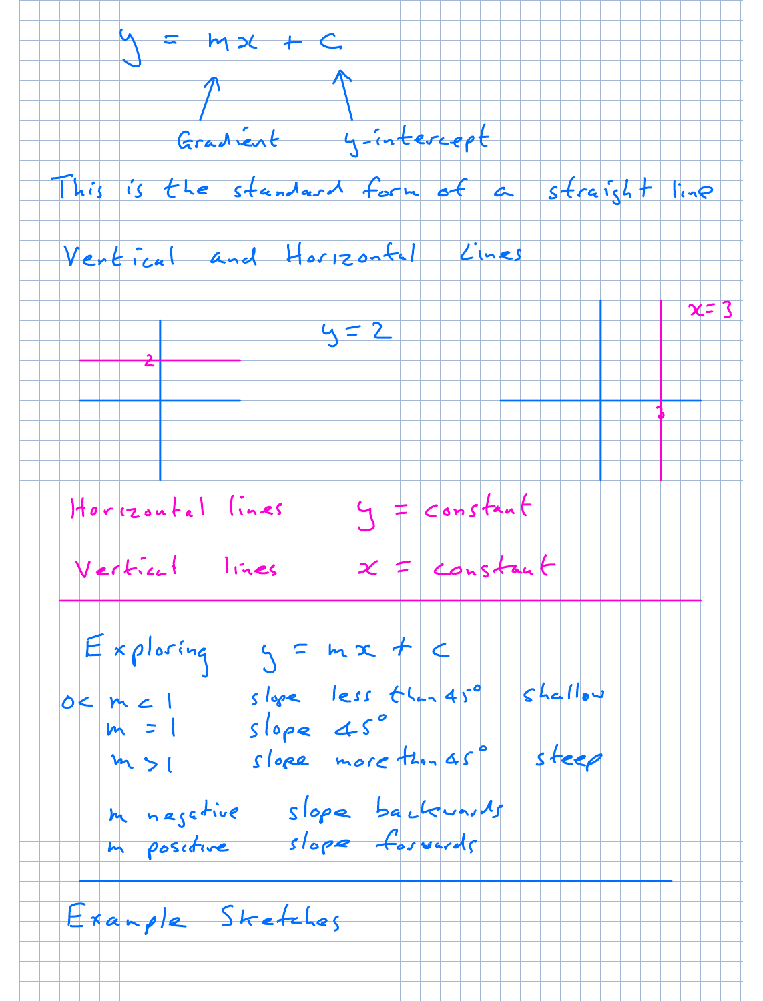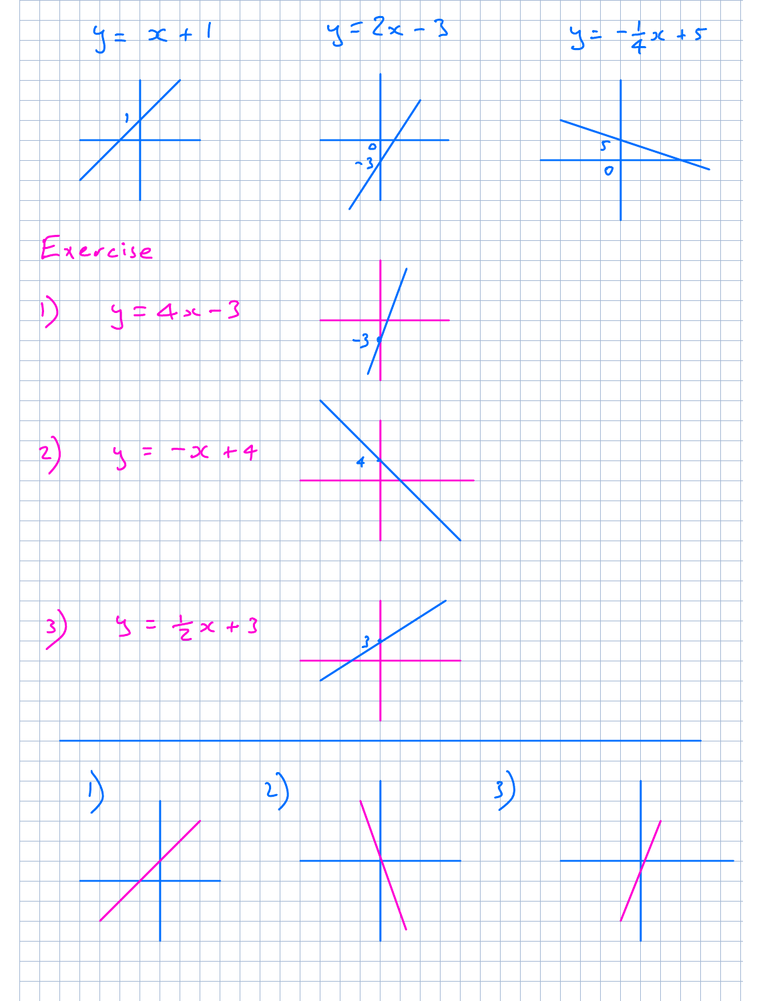